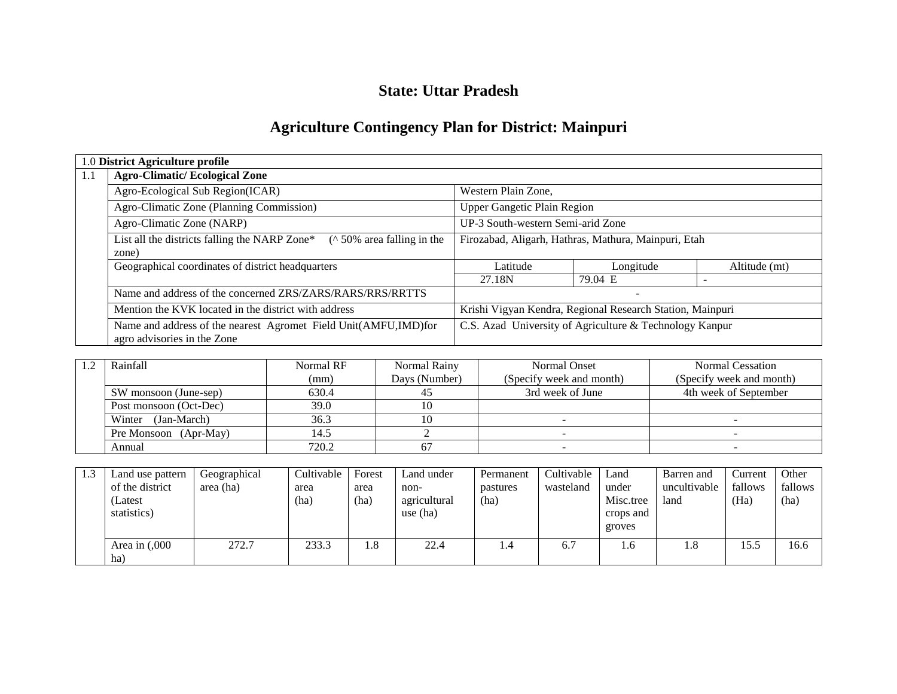## **State: Uttar Pradesh**

# **Agriculture Contingency Plan for District: Mainpuri**

|     | 1.0 District Agriculture profile                                                               |                                                           |                          |               |  |
|-----|------------------------------------------------------------------------------------------------|-----------------------------------------------------------|--------------------------|---------------|--|
| 1.1 | <b>Agro-Climatic/Ecological Zone</b>                                                           |                                                           |                          |               |  |
|     | Agro-Ecological Sub Region(ICAR)                                                               | Western Plain Zone,                                       |                          |               |  |
|     | Agro-Climatic Zone (Planning Commission)                                                       | <b>Upper Gangetic Plain Region</b>                        |                          |               |  |
|     | Agro-Climatic Zone (NARP)                                                                      | UP-3 South-western Semi-arid Zone                         |                          |               |  |
|     | List all the districts falling the NARP Zone*<br>$($ \landom 50% area falling in the<br>zone)  | Firozabad, Aligarh, Hathras, Mathura, Mainpuri, Etah      |                          |               |  |
|     | Geographical coordinates of district headquarters                                              | Latitude                                                  | Longitude                | Altitude (mt) |  |
|     |                                                                                                | 27.18N                                                    | 79.04 E                  |               |  |
|     | Name and address of the concerned ZRS/ZARS/RARS/RRS/RRTTS                                      |                                                           | $\overline{\phantom{a}}$ |               |  |
|     | Mention the KVK located in the district with address                                           | Krishi Vigyan Kendra, Regional Research Station, Mainpuri |                          |               |  |
|     | Name and address of the nearest Agromet Field Unit(AMFU,IMD)for<br>agro advisories in the Zone | C.S. Azad University of Agriculture & Technology Kanpur   |                          |               |  |

| Rainfall               | Normal RF | Normal Rainy  | Normal Onset             | Normal Cessation         |
|------------------------|-----------|---------------|--------------------------|--------------------------|
|                        | (mm)      | Days (Number) | (Specify week and month) | (Specify week and month) |
| SW monsoon (June-sep)  | 630.4     |               | 3rd week of June         | 4th week of September    |
| Post monsoon (Oct-Dec) | 39.0      |               |                          |                          |
| (Jan-March)<br>Winter  | 36.3      |               |                          |                          |
| Pre Monsoon (Apr-May)  | 14.5      |               |                          |                          |
| Annual                 | 720.2     |               |                          |                          |

| 1.3 | Land use pattern  | Geographical | Cultivable | Forest | Land under   | Permanent | Cultivable | Land      | Barren and   | Current | Other   |
|-----|-------------------|--------------|------------|--------|--------------|-----------|------------|-----------|--------------|---------|---------|
|     | of the district   | area (ha)    | area       | area   | non-         | pastures  | wasteland  | under     | uncultivable | fallows | fallows |
|     | (Latest           |              | (ha)       | (ha)   | agricultural | (ha)      |            | Misc.tree | land         | (Ha)    | (ha)    |
|     | statistics)       |              |            |        | use $(ha)$   |           |            | crops and |              |         |         |
|     |                   |              |            |        |              |           |            | groves    |              |         |         |
|     | Area in $(0.000)$ | 272.7        | 233.3      | 1.8    | 22.4         | 1.4       | 6.7        | 1.6       | 1.8          | 15.5    | 16.6    |
|     | ha)               |              |            |        |              |           |            |           |              |         |         |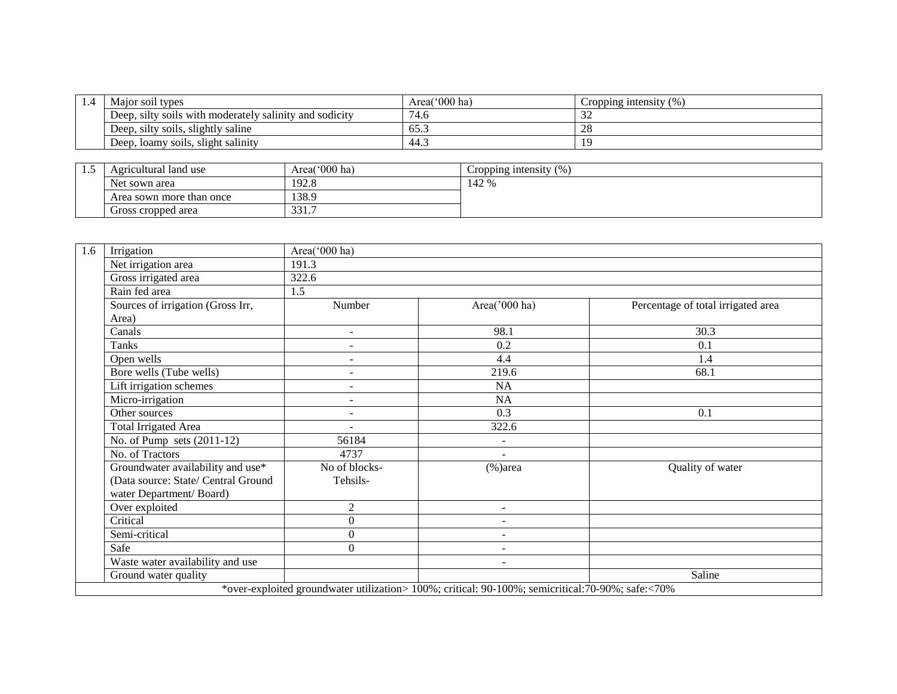| $\pm$ .4 | Major soil types                                        | Area( $000$ ha) | Cropping intensity $(\%)$ |
|----------|---------------------------------------------------------|-----------------|---------------------------|
|          | Deep, silty soils with moderately salinity and sodicity | 74.6            | $\sim$<br>ے ر             |
|          | Deep, silty soils, slightly saline                      | 65.3            | $\bigcap$<br>∠o           |
|          | Deep, loamy soils, slight salinity                      | د.44            |                           |

| ن . | Agricultural land use    | Area('000 ha) | $\frac{6}{9}$<br>Cropping intensity |
|-----|--------------------------|---------------|-------------------------------------|
|     | Net sown area            | 192.8         | 142 %                               |
|     | Area sown more than once | 138.9         |                                     |
|     | Gross cropped area       | 331<br>JJ 1.1 |                                     |

| 1.6 | Irrigation                          | Area('000 ha)            |                                                                                                   |                                    |
|-----|-------------------------------------|--------------------------|---------------------------------------------------------------------------------------------------|------------------------------------|
|     | Net irrigation area                 | 191.3                    |                                                                                                   |                                    |
|     | Gross irrigated area                | 322.6                    |                                                                                                   |                                    |
|     | Rain fed area                       | 1.5                      |                                                                                                   |                                    |
|     | Sources of irrigation (Gross Irr,   | Number                   | Area('000 ha)                                                                                     | Percentage of total irrigated area |
|     | Area)                               |                          |                                                                                                   |                                    |
|     | Canals                              | $\sim$                   | 98.1                                                                                              | 30.3                               |
|     | Tanks                               | $\sim$                   | 0.2                                                                                               | 0.1                                |
|     | Open wells                          | $\sim$                   | 4.4                                                                                               | 1.4                                |
|     | Bore wells (Tube wells)             | $\overline{\phantom{a}}$ | 219.6                                                                                             | 68.1                               |
|     | Lift irrigation schemes             | $\overline{\phantom{a}}$ | <b>NA</b>                                                                                         |                                    |
|     | Micro-irrigation                    | $\blacksquare$           | <b>NA</b>                                                                                         |                                    |
|     | Other sources                       | $\sim$                   | $\overline{0.3}$                                                                                  | 0.1                                |
|     | <b>Total Irrigated Area</b>         |                          | 322.6                                                                                             |                                    |
|     | No. of Pump sets $(2011-12)$        | 56184                    | $\sim$                                                                                            |                                    |
|     | No. of Tractors                     | 4737                     | ÷                                                                                                 |                                    |
|     | Groundwater availability and use*   | No of blocks-            | $(\% )$ area                                                                                      | Quality of water                   |
|     | (Data source: State/ Central Ground | Tehsils-                 |                                                                                                   |                                    |
|     | water Department/Board)             |                          |                                                                                                   |                                    |
|     | Over exploited                      | $\overline{2}$           | $\overline{\phantom{a}}$                                                                          |                                    |
|     | Critical                            | $\Omega$                 | ÷                                                                                                 |                                    |
|     | Semi-critical                       | $\mathbf{0}$             | ٠                                                                                                 |                                    |
|     | Safe                                | $\Omega$                 | $\overline{\phantom{a}}$                                                                          |                                    |
|     | Waste water availability and use    |                          | ۰                                                                                                 |                                    |
|     | Ground water quality                |                          |                                                                                                   | Saline                             |
|     |                                     |                          | *over-exploited groundwater utilization> 100%; critical: 90-100%; semicritical: 70-90%; safe:<70% |                                    |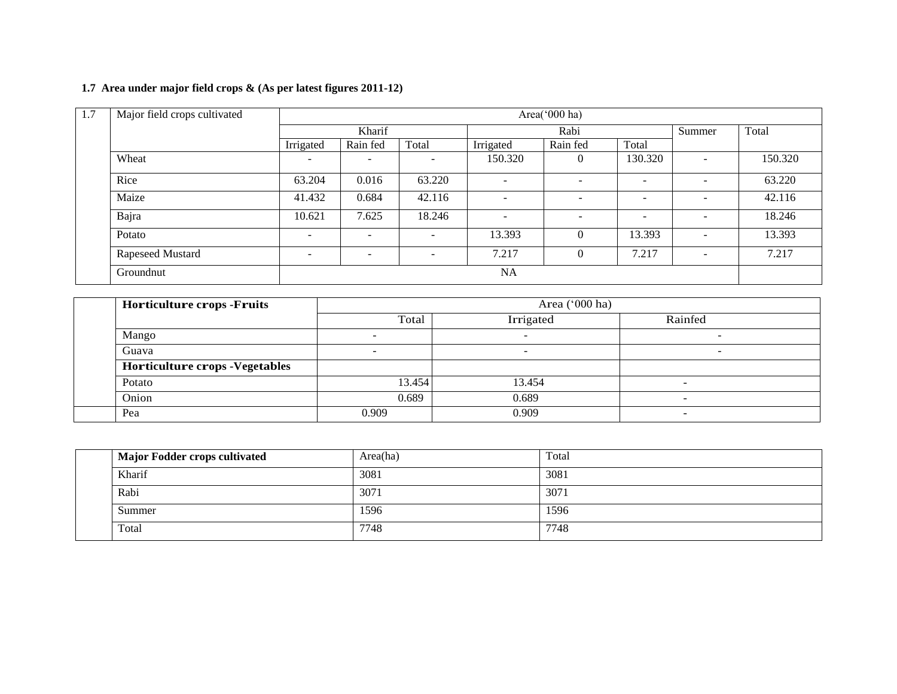## **1.7 Area under major field crops & (As per latest figures 2011-12)**

| 1.7 | Major field crops cultivated |                          |                          |                              |                          | Area('000 ha)            |                          |                          |         |  |
|-----|------------------------------|--------------------------|--------------------------|------------------------------|--------------------------|--------------------------|--------------------------|--------------------------|---------|--|
|     |                              |                          | Kharif                   |                              |                          | Rabi                     |                          |                          | Total   |  |
|     |                              | Irrigated                | Rain fed                 | Total                        | Irrigated                | Rain fed                 | Total                    |                          |         |  |
|     | Wheat                        | -                        | $\overline{\phantom{0}}$ |                              | 150.320                  | $\theta$                 | 130.320                  | $\overline{\phantom{0}}$ | 150.320 |  |
|     | Rice                         | 63.204                   | 0.016                    | 63.220                       | $\overline{\phantom{a}}$ | $\overline{\phantom{0}}$ | $\overline{\phantom{a}}$ | ٠                        | 63.220  |  |
|     | Maize                        | 41.432                   | 0.684                    | 42.116                       | $\overline{\phantom{a}}$ | $\overline{\phantom{a}}$ |                          | $\overline{\phantom{0}}$ | 42.116  |  |
|     | Bajra                        | 10.621                   | 7.625                    | 18.246                       | $\overline{\phantom{a}}$ | $\overline{\phantom{0}}$ | $\overline{\phantom{a}}$ | $\overline{\phantom{0}}$ | 18.246  |  |
|     | Potato                       | $\overline{\phantom{a}}$ | $\overline{\phantom{a}}$ | -                            | 13.393                   | $\theta$                 | 13.393                   | $\overline{\phantom{0}}$ | 13.393  |  |
|     | Rapeseed Mustard             | $\overline{\phantom{a}}$ | $\overline{\phantom{0}}$ | $\qquad \qquad \blacksquare$ | 7.217                    | $\Omega$                 | 7.217                    | $\overline{\phantom{0}}$ | 7.217   |  |
|     | Groundnut                    |                          | NA                       |                              |                          |                          |                          |                          |         |  |

| <b>Horticulture crops -Fruits</b>      |        |           |                          |  |
|----------------------------------------|--------|-----------|--------------------------|--|
|                                        | Total  | Irrigated | Rainfed                  |  |
| Mango                                  |        | $\sim$    | -                        |  |
| Guava                                  |        | -         | -                        |  |
| <b>Horticulture crops - Vegetables</b> |        |           |                          |  |
| Potato                                 | 13.454 | 13.454    | $\overline{\phantom{a}}$ |  |
| Onion                                  | 0.689  | 0.689     | $\overline{\phantom{a}}$ |  |
| Pea                                    | 0.909  | 0.909     | $\overline{\phantom{0}}$ |  |

|  | <b>Major Fodder crops cultivated</b> | Area(ha) | Total |
|--|--------------------------------------|----------|-------|
|  | Kharif                               | 3081     | 3081  |
|  | Rabi                                 | 3071     | 3071  |
|  | Summer                               | 1596     | 1596  |
|  | Total                                | 7748     | 7748  |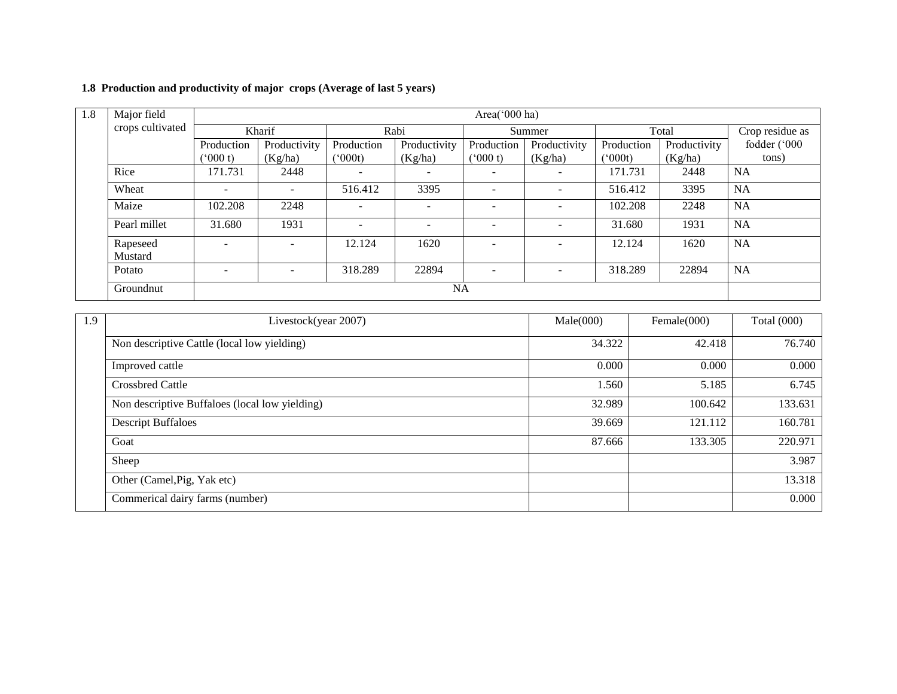## **1.8 Production and productivity of major crops (Average of last 5 years)**

| 1.8 | Major field         |                          | Area(' $000$ ha)         |                          |                          |            |                |              |              |                 |  |
|-----|---------------------|--------------------------|--------------------------|--------------------------|--------------------------|------------|----------------|--------------|--------------|-----------------|--|
|     | crops cultivated    |                          | Kharif                   | Rabi                     |                          | Summer     |                | Total        |              | Crop residue as |  |
|     |                     | Production               | Productivity             | Production               | Productivity             | Production | Productivity   | Production   | Productivity | fodder ('000    |  |
|     |                     | (000 t)                  | (Kg/ha)                  | $(^{o}000t)$             | (Kg/ha)                  | (000 t)    | (Kg/ha)        | $(^{o}000t)$ | (Kg/ha)      | tons)           |  |
|     | Rice                | 171.731                  | 2448                     | $\overline{\phantom{0}}$ | $\overline{\phantom{m}}$ |            | $\overline{a}$ | 171.731      | 2448         | <b>NA</b>       |  |
|     | Wheat               | $\overline{\phantom{a}}$ |                          | 516.412                  | 3395                     |            | $\sim$         | 516.412      | 3395         | <b>NA</b>       |  |
|     | Maize               | 102.208                  | 2248                     |                          | $\overline{\phantom{a}}$ |            |                | 102.208      | 2248         | NA              |  |
|     | Pearl millet        | 31.680                   | 1931                     | $\overline{a}$           | $\overline{\phantom{0}}$ |            | $\overline{a}$ | 31.680       | 1931         | <b>NA</b>       |  |
|     | Rapeseed<br>Mustard |                          |                          | 12.124                   | 1620                     |            |                | 12.124       | 1620         | NA              |  |
|     | Potato              | $\overline{\phantom{0}}$ | $\overline{\phantom{a}}$ | 318.289                  | 22894                    |            | $\overline{a}$ | 318.289      | 22894        | <b>NA</b>       |  |
|     | Groundnut           |                          |                          |                          |                          | <b>NA</b>  |                |              |              |                 |  |

| 1.9 | Livestock(year 2007)                           | Male(000) | Female $(000)$ | <b>Total</b> (000) |  |
|-----|------------------------------------------------|-----------|----------------|--------------------|--|
|     | Non descriptive Cattle (local low yielding)    | 34.322    | 42.418         | 76.740             |  |
|     | Improved cattle                                | 0.000     | 0.000          | 0.000              |  |
|     | <b>Crossbred Cattle</b>                        | 1.560     | 5.185          | 6.745              |  |
|     | Non descriptive Buffaloes (local low yielding) | 32.989    | 100.642        | 133.631            |  |
|     | <b>Descript Buffaloes</b>                      | 39.669    | 121.112        | 160.781            |  |
|     | Goat                                           | 87.666    | 133.305        | 220.971            |  |
|     | Sheep                                          |           |                | 3.987              |  |
|     | Other (Camel, Pig, Yak etc)                    |           |                | 13.318             |  |
|     | Commerical dairy farms (number)                |           |                | 0.000              |  |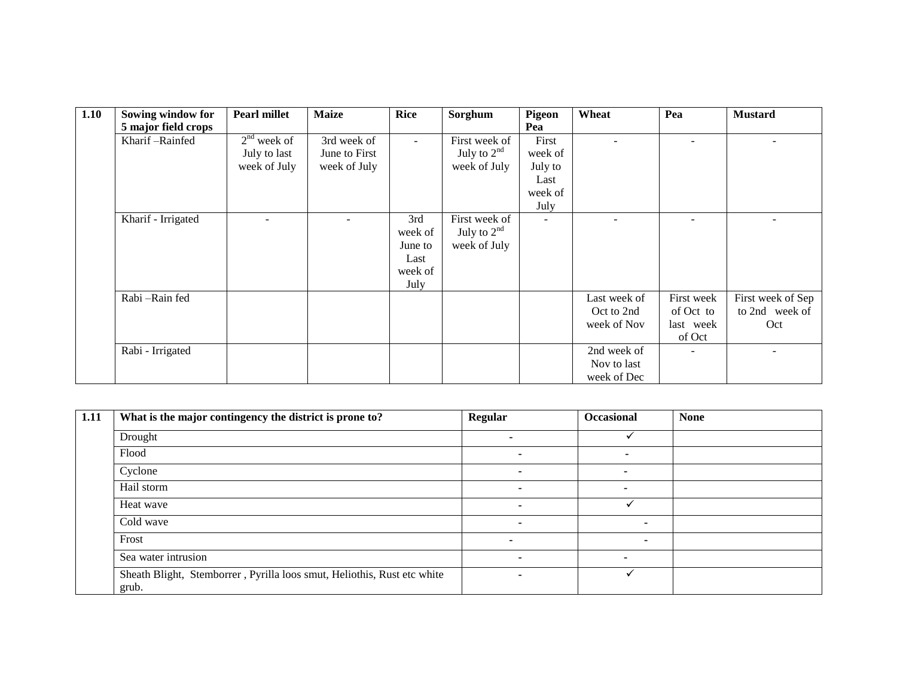| 1.10 | Sowing window for   | <b>Pearl millet</b> | <b>Maize</b>  | <b>Rice</b> | Sorghum       | <b>Pigeon</b>  | Wheat        | Pea        | <b>Mustard</b>    |
|------|---------------------|---------------------|---------------|-------------|---------------|----------------|--------------|------------|-------------------|
|      | 5 major field crops |                     |               |             |               | Pea            |              |            |                   |
|      | Kharif-Rainfed      | $2nd$ week of       | 3rd week of   | $\sim$      | First week of | First          |              |            |                   |
|      |                     | July to last        | June to First |             | July to $2nd$ | week of        |              |            |                   |
|      |                     | week of July        | week of July  |             | week of July  | July to        |              |            |                   |
|      |                     |                     |               |             |               | Last           |              |            |                   |
|      |                     |                     |               |             |               | week of        |              |            |                   |
|      |                     |                     |               |             |               | July           |              |            |                   |
|      | Kharif - Irrigated  |                     |               | 3rd         | First week of | $\overline{a}$ |              |            |                   |
|      |                     |                     |               | week of     | July to $2nd$ |                |              |            |                   |
|      |                     |                     |               | June to     | week of July  |                |              |            |                   |
|      |                     |                     |               | Last        |               |                |              |            |                   |
|      |                     |                     |               | week of     |               |                |              |            |                   |
|      |                     |                     |               | July        |               |                |              |            |                   |
|      | Rabi-Rain fed       |                     |               |             |               |                | Last week of | First week | First week of Sep |
|      |                     |                     |               |             |               |                | Oct to 2nd   | of Oct to  | to 2nd week of    |
|      |                     |                     |               |             |               |                | week of Nov  | last week  | Oct               |
|      |                     |                     |               |             |               |                |              | of Oct     |                   |
|      | Rabi - Irrigated    |                     |               |             |               |                | 2nd week of  |            |                   |
|      |                     |                     |               |             |               |                | Nov to last  |            |                   |
|      |                     |                     |               |             |               |                | week of Dec  |            |                   |

| 1.11 | What is the major contingency the district is prone to?                          | <b>Regular</b>           | Occasional               | <b>None</b> |
|------|----------------------------------------------------------------------------------|--------------------------|--------------------------|-------------|
|      | Drought                                                                          |                          |                          |             |
|      | Flood                                                                            | $\blacksquare$           | -                        |             |
|      | Cyclone                                                                          | . .                      |                          |             |
|      | Hail storm                                                                       | $\overline{\phantom{0}}$ | $\blacksquare$           |             |
|      | Heat wave                                                                        |                          |                          |             |
|      | Cold wave                                                                        | $\blacksquare$           | $\overline{\phantom{a}}$ |             |
|      | Frost                                                                            |                          |                          |             |
|      | Sea water intrusion                                                              | $\overline{\phantom{0}}$ | -                        |             |
|      | Sheath Blight, Stemborrer, Pyrilla loos smut, Heliothis, Rust etc white<br>grub. | $\overline{\phantom{a}}$ |                          |             |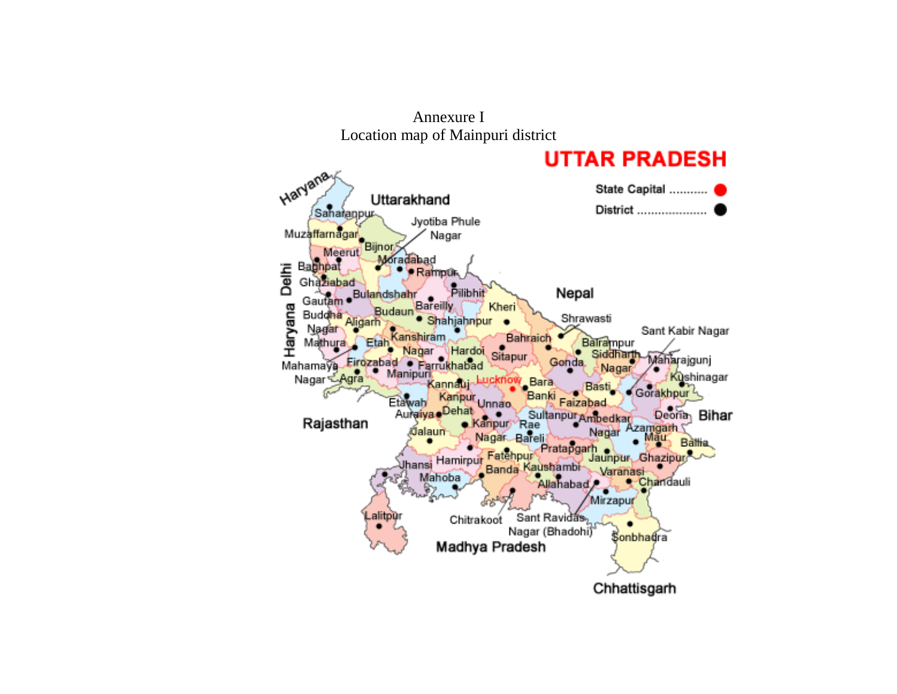

Annexure I Location map of Mainpuri district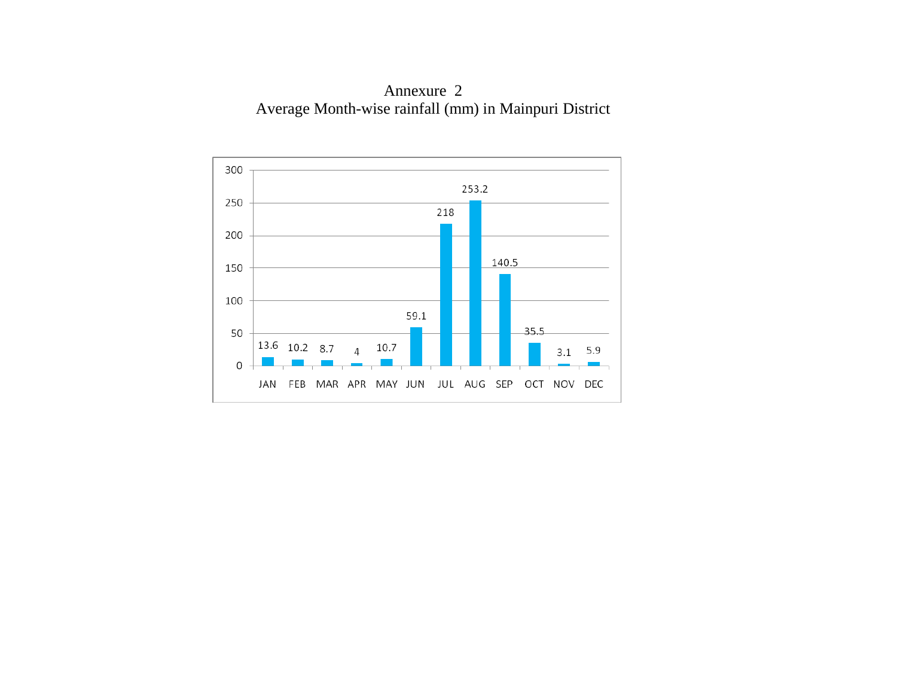Annexure 2 Average Month-wise rainfall (mm) in Mainpuri District

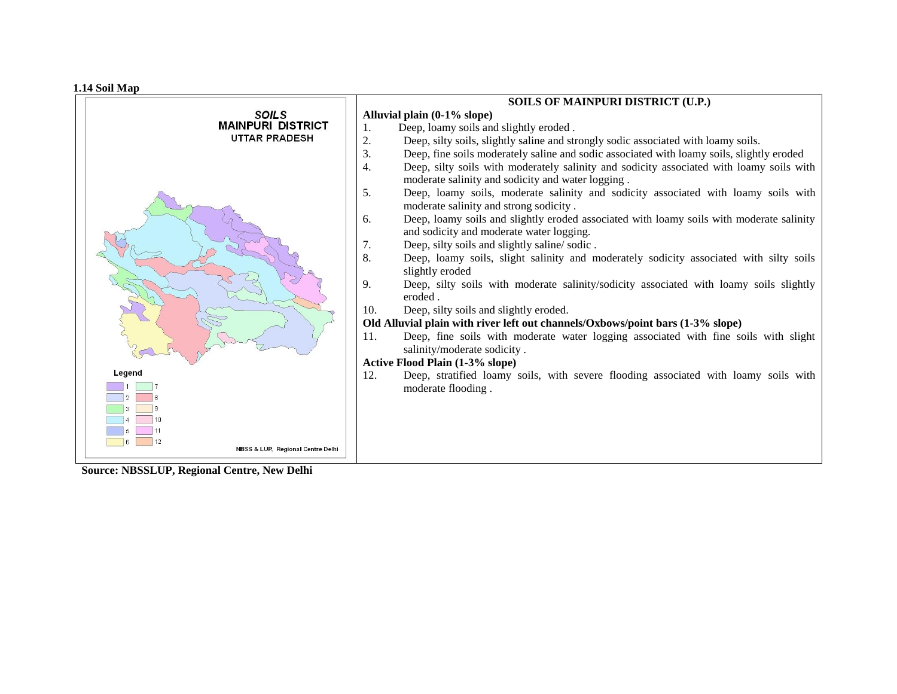**1.14 Soil Map**

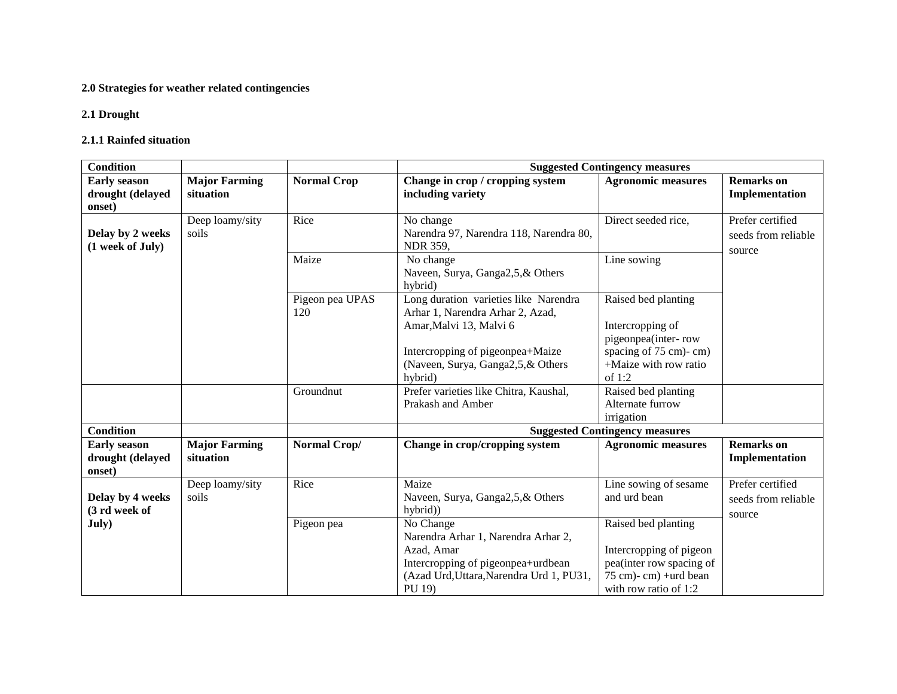## **2.0 Strategies for weather related contingencies**

## **2.1 Drought**

#### **2.1.1 Rainfed situation**

| <b>Condition</b>    |                      |                    | <b>Suggested Contingency measures</b>         |                                                |                     |  |  |
|---------------------|----------------------|--------------------|-----------------------------------------------|------------------------------------------------|---------------------|--|--|
| <b>Early season</b> | <b>Major Farming</b> | <b>Normal Crop</b> | Change in crop / cropping system              | <b>Agronomic measures</b>                      | <b>Remarks</b> on   |  |  |
| drought (delayed    | situation            |                    | including variety                             |                                                | Implementation      |  |  |
| onset)              |                      |                    |                                               |                                                |                     |  |  |
|                     | Deep loamy/sity      | Rice               | No change                                     | Direct seeded rice,                            | Prefer certified    |  |  |
| Delay by 2 weeks    | soils                |                    | Narendra 97, Narendra 118, Narendra 80,       |                                                | seeds from reliable |  |  |
| (1 week of July)    |                      |                    | <b>NDR 359,</b>                               |                                                | source              |  |  |
|                     |                      | Maize              | No change                                     | Line sowing                                    |                     |  |  |
|                     |                      |                    | Naveen, Surya, Ganga2,5,& Others              |                                                |                     |  |  |
|                     |                      |                    | hybrid)                                       |                                                |                     |  |  |
|                     |                      | Pigeon pea UPAS    | Long duration varieties like Narendra         | Raised bed planting                            |                     |  |  |
|                     |                      | 120                | Arhar 1, Narendra Arhar 2, Azad,              |                                                |                     |  |  |
|                     |                      |                    | Amar, Malvi 13, Malvi 6                       | Intercropping of                               |                     |  |  |
|                     |                      |                    |                                               | pigeonpea(inter-row                            |                     |  |  |
|                     |                      |                    | Intercropping of pigeonpea+Maize              | spacing of 75 cm)-cm)<br>+Maize with row ratio |                     |  |  |
|                     |                      |                    | (Naveen, Surya, Ganga2,5,& Others)<br>hybrid) | of $1:2$                                       |                     |  |  |
|                     |                      | Groundnut          | Prefer varieties like Chitra, Kaushal,        | Raised bed planting                            |                     |  |  |
|                     |                      |                    | Prakash and Amber                             | Alternate furrow                               |                     |  |  |
|                     |                      |                    |                                               | irrigation                                     |                     |  |  |
| <b>Condition</b>    |                      |                    |                                               | <b>Suggested Contingency measures</b>          |                     |  |  |
| <b>Early season</b> | <b>Major Farming</b> | Normal Crop/       | Change in crop/cropping system                | <b>Agronomic measures</b>                      | <b>Remarks</b> on   |  |  |
| drought (delayed    | situation            |                    |                                               |                                                | Implementation      |  |  |
| onset)              |                      |                    |                                               |                                                |                     |  |  |
|                     | Deep loamy/sity      | Rice               | Maize                                         | Line sowing of sesame                          | Prefer certified    |  |  |
| Delay by 4 weeks    | soils                |                    | Naveen, Surya, Ganga2,5,& Others              | and urd bean                                   | seeds from reliable |  |  |
| (3 rd week of       |                      |                    | hybrid))                                      |                                                |                     |  |  |
| July)               |                      | Pigeon pea         | No Change                                     | Raised bed planting                            | source              |  |  |
|                     |                      |                    | Narendra Arhar 1, Narendra Arhar 2,           |                                                |                     |  |  |
|                     |                      |                    | Azad, Amar                                    | Intercropping of pigeon                        |                     |  |  |
|                     |                      |                    | Intercropping of pigeonpea+urdbean            | pea(inter row spacing of                       |                     |  |  |
|                     |                      |                    | (Azad Urd, Uttara, Narendra Urd 1, PU31,      | $75$ cm $)$ - cm $)$ + urd bean                |                     |  |  |
|                     |                      |                    | PU 19)                                        | with row ratio of 1:2                          |                     |  |  |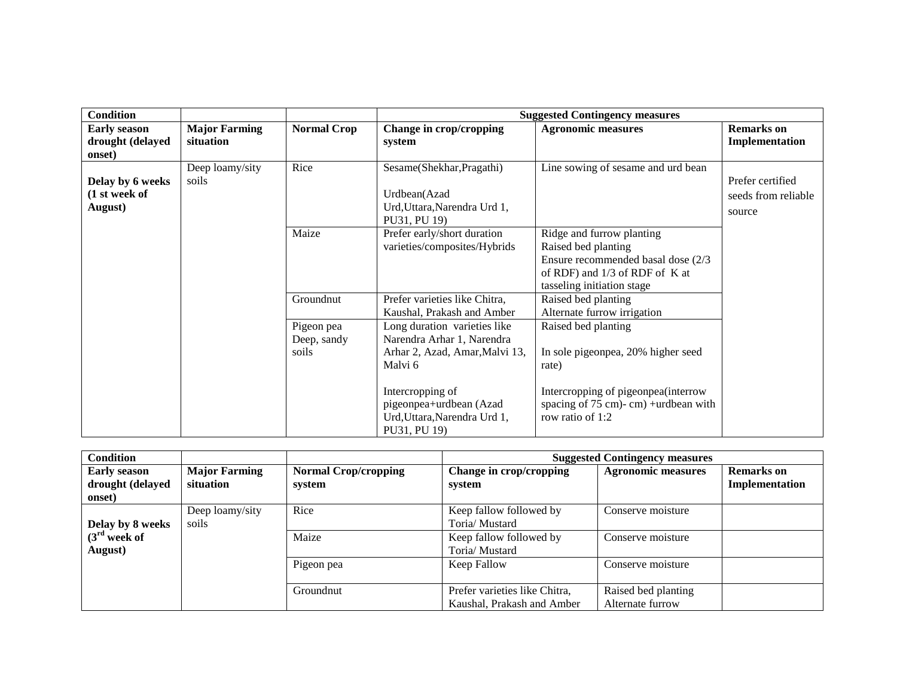| <b>Condition</b>                                  |                                   |                                    | <b>Suggested Contingency measures</b>                                                                                                                                                                  |                                                                                                                                                                                  |                                                   |  |  |
|---------------------------------------------------|-----------------------------------|------------------------------------|--------------------------------------------------------------------------------------------------------------------------------------------------------------------------------------------------------|----------------------------------------------------------------------------------------------------------------------------------------------------------------------------------|---------------------------------------------------|--|--|
| <b>Early season</b><br>drought (delayed<br>onset) | <b>Major Farming</b><br>situation | <b>Normal Crop</b>                 | Change in crop/cropping<br>system                                                                                                                                                                      | <b>Agronomic measures</b>                                                                                                                                                        | <b>Remarks</b> on<br>Implementation               |  |  |
| Delay by 6 weeks<br>(1 st week of<br>August)      | Deep loamy/sity<br>soils          | Rice                               | Sesame(Shekhar, Pragathi)<br>Urdbean(Azad<br>Urd, Uttara, Narendra Urd 1,<br>PU31, PU 19)                                                                                                              | Line sowing of sesame and urd bean                                                                                                                                               | Prefer certified<br>seeds from reliable<br>source |  |  |
|                                                   |                                   | Maize                              | Prefer early/short duration<br>varieties/composites/Hybrids                                                                                                                                            | Ridge and furrow planting<br>Raised bed planting<br>Ensure recommended basal dose (2/3)<br>of RDF) and $1/3$ of RDF of K at<br>tasseling initiation stage                        |                                                   |  |  |
|                                                   |                                   | Groundnut                          | Prefer varieties like Chitra,<br>Kaushal, Prakash and Amber                                                                                                                                            | Raised bed planting<br>Alternate furrow irrigation                                                                                                                               |                                                   |  |  |
|                                                   |                                   | Pigeon pea<br>Deep, sandy<br>soils | Long duration varieties like<br>Narendra Arhar 1, Narendra<br>Arhar 2, Azad, Amar, Malvi 13,<br>Malvi 6<br>Intercropping of<br>pigeonpea+urdbean (Azad<br>Urd, Uttara, Narendra Urd 1,<br>PU31, PU 19) | Raised bed planting<br>In sole pigeonpea, 20% higher seed<br>rate)<br>Intercropping of pigeonpea(interrow<br>spacing of $75 \text{ cm}$ - cm) + urdbean with<br>row ratio of 1:2 |                                                   |  |  |

| <b>Condition</b>                                  |                                   |                                       |                                                             | <b>Suggested Contingency measures</b>   |                                     |  |
|---------------------------------------------------|-----------------------------------|---------------------------------------|-------------------------------------------------------------|-----------------------------------------|-------------------------------------|--|
| <b>Early season</b><br>drought (delayed<br>onset) | <b>Major Farming</b><br>situation | <b>Normal Crop/cropping</b><br>system | Change in crop/cropping<br>system                           | <b>Agronomic measures</b>               | <b>Remarks</b> on<br>Implementation |  |
| Delay by 8 weeks                                  | Deep loamy/sity<br>soils          | Rice                                  | Keep fallow followed by<br>Toria/ Mustard                   | Conserve moisture                       |                                     |  |
| $(3rd$ week of<br>August)                         |                                   | Maize                                 | Keep fallow followed by<br>Toria/ Mustard                   | Conserve moisture                       |                                     |  |
|                                                   |                                   | Pigeon pea                            | Keep Fallow                                                 | Conserve moisture                       |                                     |  |
|                                                   |                                   | Groundnut                             | Prefer varieties like Chitra,<br>Kaushal, Prakash and Amber | Raised bed planting<br>Alternate furrow |                                     |  |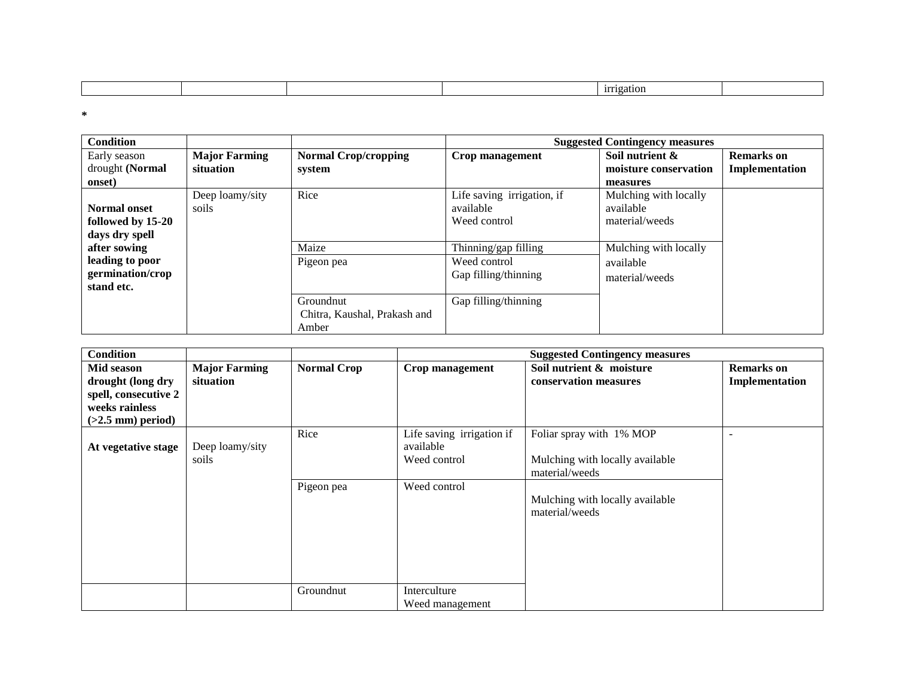|  |  |  |  |  | 11110211011 |  |
|--|--|--|--|--|-------------|--|
|--|--|--|--|--|-------------|--|

**\***

| <b>Condition</b>    |                      |                              |                            | <b>Suggested Contingency measures</b> |                   |
|---------------------|----------------------|------------------------------|----------------------------|---------------------------------------|-------------------|
| Early season        | <b>Major Farming</b> | <b>Normal Crop/cropping</b>  | Crop management            | Soil nutrient &                       | <b>Remarks</b> on |
| drought (Normal     | situation            | system                       |                            | moisture conservation                 | Implementation    |
| onset)              |                      |                              |                            | measures                              |                   |
|                     | Deep loamy/sity      | Rice                         | Life saving irrigation, if | Mulching with locally                 |                   |
| <b>Normal onset</b> | soils                |                              | available                  | available                             |                   |
| followed by 15-20   |                      |                              | Weed control               | material/weeds                        |                   |
| days dry spell      |                      |                              |                            |                                       |                   |
| after sowing        |                      | Maize                        | Thinning/gap filling       | Mulching with locally                 |                   |
| leading to poor     |                      | Pigeon pea                   | Weed control               | available                             |                   |
| germination/crop    |                      |                              | Gap filling/thinning       | material/weeds                        |                   |
| stand etc.          |                      |                              |                            |                                       |                   |
|                     |                      | Groundnut                    | Gap filling/thinning       |                                       |                   |
|                     |                      | Chitra, Kaushal, Prakash and |                            |                                       |                   |
|                     |                      | Amber                        |                            |                                       |                   |

| <b>Condition</b>                                                                                 |                                   |                    |                                                                        | <b>Suggested Contingency measures</b>                                                                                              |                                     |
|--------------------------------------------------------------------------------------------------|-----------------------------------|--------------------|------------------------------------------------------------------------|------------------------------------------------------------------------------------------------------------------------------------|-------------------------------------|
| Mid season<br>drought (long dry<br>spell, consecutive 2<br>weeks rainless<br>$(>2.5$ mm) period) | <b>Major Farming</b><br>situation | <b>Normal Crop</b> | Crop management                                                        | Soil nutrient & moisture<br>conservation measures                                                                                  | <b>Remarks</b> on<br>Implementation |
| At vegetative stage                                                                              | Deep loamy/sity<br>soils          | Rice<br>Pigeon pea | Life saving irrigation if<br>available<br>Weed control<br>Weed control | Foliar spray with 1% MOP<br>Mulching with locally available<br>material/weeds<br>Mulching with locally available<br>material/weeds |                                     |
|                                                                                                  |                                   | Groundnut          | Interculture<br>Weed management                                        |                                                                                                                                    |                                     |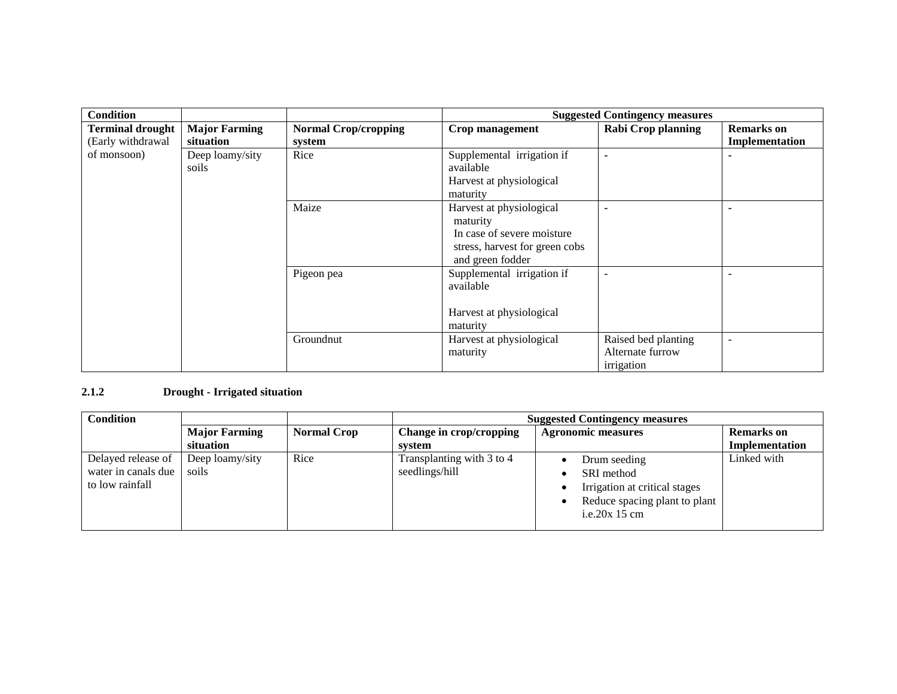| <b>Condition</b>        |                          |                                          | <b>Suggested Contingency measures</b> |                          |                   |
|-------------------------|--------------------------|------------------------------------------|---------------------------------------|--------------------------|-------------------|
| <b>Terminal drought</b> | <b>Major Farming</b>     | <b>Normal Crop/cropping</b>              | Crop management                       | Rabi Crop planning       | <b>Remarks</b> on |
| (Early withdrawal       | situation                | system                                   |                                       |                          | Implementation    |
| of monsoon)             | Deep loamy/sity          | Rice                                     | Supplemental irrigation if            |                          |                   |
|                         | soils                    |                                          | available                             |                          |                   |
|                         |                          |                                          | Harvest at physiological              |                          |                   |
|                         |                          |                                          | maturity                              |                          |                   |
|                         |                          | Maize                                    | Harvest at physiological              |                          |                   |
|                         | maturity                 |                                          |                                       |                          |                   |
|                         |                          |                                          | In case of severe moisture            |                          |                   |
|                         |                          |                                          | stress, harvest for green cobs        |                          |                   |
|                         |                          |                                          | and green fodder                      |                          |                   |
|                         |                          | Supplemental irrigation if<br>Pigeon pea |                                       |                          |                   |
|                         |                          |                                          | available                             |                          |                   |
|                         |                          |                                          |                                       |                          |                   |
|                         | Harvest at physiological |                                          |                                       |                          |                   |
|                         | maturity                 |                                          |                                       |                          |                   |
| Groundnut               |                          | Harvest at physiological                 | Raised bed planting                   | $\overline{\phantom{a}}$ |                   |
|                         |                          |                                          | maturity                              | Alternate furrow         |                   |
|                         |                          |                                          |                                       | irrigation               |                   |

## **2.1.2 Drought - Irrigated situation**

| <b>Condition</b>                                             |                          |                    | <b>Suggested Contingency measures</b>                |                                                                                                                  |                   |  |
|--------------------------------------------------------------|--------------------------|--------------------|------------------------------------------------------|------------------------------------------------------------------------------------------------------------------|-------------------|--|
|                                                              | <b>Major Farming</b>     | <b>Normal Crop</b> | Change in crop/cropping<br><b>Agronomic measures</b> |                                                                                                                  | <b>Remarks</b> on |  |
|                                                              | situation                |                    | system                                               |                                                                                                                  | Implementation    |  |
| Delayed release of<br>water in canals due<br>to low rainfall | Deep loamy/sity<br>soils | Rice               | Transplanting with 3 to 4<br>seedlings/hill          | Drum seeding<br>SRI method<br>Irrigation at critical stages<br>Reduce spacing plant to plant<br>i.e.20 $x$ 15 cm | Linked with       |  |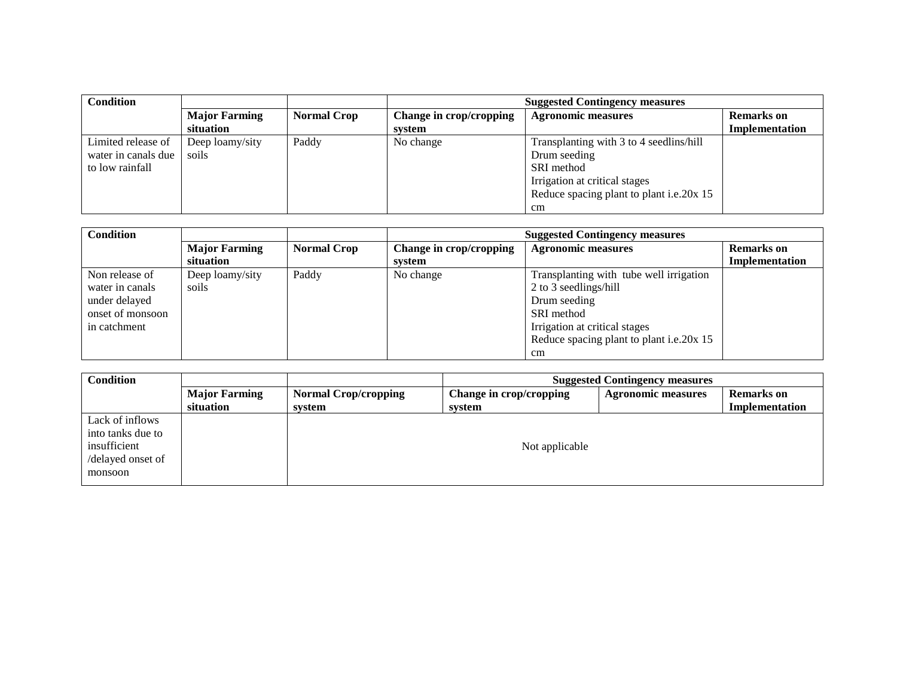| <b>Condition</b>    |                                   |                    | <b>Suggested Contingency measures</b> |                                          |                                            |
|---------------------|-----------------------------------|--------------------|---------------------------------------|------------------------------------------|--------------------------------------------|
|                     | <b>Major Farming</b><br>situation | <b>Normal Crop</b> | Change in crop/cropping<br>system     | <b>Agronomic measures</b>                | <b>Remarks</b> on<br><b>Implementation</b> |
| Limited release of  | Deep loamy/sity                   | Paddy              | No change                             | Transplanting with 3 to 4 seedlins/hill  |                                            |
| water in canals due | soils                             |                    |                                       | Drum seeding                             |                                            |
| to low rainfall     |                                   |                    |                                       | SRI method                               |                                            |
|                     |                                   |                    |                                       | Irrigation at critical stages            |                                            |
|                     |                                   |                    |                                       | Reduce spacing plant to plant i.e.20x 15 |                                            |
|                     |                                   |                    |                                       | cm                                       |                                            |

| <b>Condition</b>                                                                       |                                   |                    | <b>Suggested Contingency measures</b> |                                                                                                                                                                                   |                                     |
|----------------------------------------------------------------------------------------|-----------------------------------|--------------------|---------------------------------------|-----------------------------------------------------------------------------------------------------------------------------------------------------------------------------------|-------------------------------------|
|                                                                                        | <b>Major Farming</b><br>situation | <b>Normal Crop</b> | Change in crop/cropping<br>system     | <b>Agronomic measures</b>                                                                                                                                                         | <b>Remarks</b> on<br>Implementation |
| Non release of<br>water in canals<br>under delayed<br>onset of monsoon<br>in catchment | Deep loamy/sity<br>soils          | Paddy              | No change                             | Transplanting with tube well irrigation<br>2 to 3 seedlings/hill<br>Drum seeding<br>SRI method<br>Irrigation at critical stages<br>Reduce spacing plant to plant i.e.20x 15<br>cm |                                     |

| <b>Condition</b>  |                      | <b>Suggested Contingency measures</b> |                         |                           |                   |  |  |  |
|-------------------|----------------------|---------------------------------------|-------------------------|---------------------------|-------------------|--|--|--|
|                   | <b>Major Farming</b> | <b>Normal Crop/cropping</b>           | Change in crop/cropping | <b>Agronomic measures</b> | <b>Remarks</b> on |  |  |  |
|                   | situation            | system                                | system                  |                           | Implementation    |  |  |  |
| Lack of inflows   |                      |                                       |                         |                           |                   |  |  |  |
| into tanks due to |                      |                                       |                         |                           |                   |  |  |  |
| insufficient      |                      |                                       | Not applicable          |                           |                   |  |  |  |
| /delayed onset of |                      |                                       |                         |                           |                   |  |  |  |
| monsoon           |                      |                                       |                         |                           |                   |  |  |  |
|                   |                      |                                       |                         |                           |                   |  |  |  |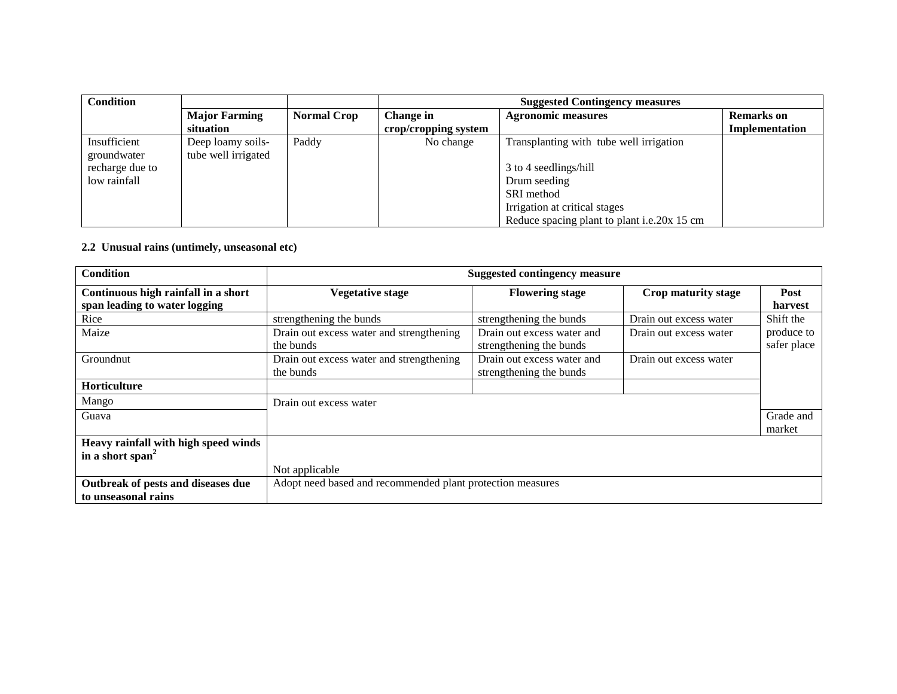| <b>Condition</b> |                      |                    | <b>Suggested Contingency measures</b> |                                             |                   |
|------------------|----------------------|--------------------|---------------------------------------|---------------------------------------------|-------------------|
|                  | <b>Major Farming</b> | <b>Normal Crop</b> | Change in                             | <b>Agronomic measures</b>                   | <b>Remarks</b> on |
|                  | situation            |                    | crop/cropping system                  |                                             | Implementation    |
| Insufficient     | Deep loamy soils-    | Paddy              | No change                             | Transplanting with tube well irrigation     |                   |
| groundwater      | tube well irrigated  |                    |                                       |                                             |                   |
| recharge due to  |                      |                    |                                       | 3 to 4 seedlings/hill                       |                   |
| low rainfall     |                      |                    |                                       | Drum seeding                                |                   |
|                  |                      |                    |                                       | SRI method                                  |                   |
|                  |                      |                    |                                       | Irrigation at critical stages               |                   |
|                  |                      |                    |                                       | Reduce spacing plant to plant i.e.20x 15 cm |                   |

## **2.2 Unusual rains (untimely, unseasonal etc)**

| <b>Condition</b>                     | <b>Suggested contingency measure</b>                       |                            |                        |             |
|--------------------------------------|------------------------------------------------------------|----------------------------|------------------------|-------------|
| Continuous high rainfall in a short  | <b>Vegetative stage</b>                                    | <b>Flowering stage</b>     | Crop maturity stage    | Post        |
| span leading to water logging        |                                                            |                            |                        | harvest     |
| Rice                                 | strengthening the bunds                                    | strengthening the bunds    | Drain out excess water | Shift the   |
| Maize                                | Drain out excess water and strengthening                   | Drain out excess water and | Drain out excess water | produce to  |
|                                      | the bunds                                                  | strengthening the bunds    |                        | safer place |
| Groundnut                            | Drain out excess water and strengthening                   | Drain out excess water and | Drain out excess water |             |
|                                      | the bunds                                                  | strengthening the bunds    |                        |             |
| Horticulture                         |                                                            |                            |                        |             |
| Mango                                | Drain out excess water                                     |                            |                        |             |
| Guava                                |                                                            |                            |                        | Grade and   |
|                                      |                                                            |                            |                        | market      |
| Heavy rainfall with high speed winds |                                                            |                            |                        |             |
| in a short span <sup>2</sup>         |                                                            |                            |                        |             |
|                                      | Not applicable                                             |                            |                        |             |
| Outbreak of pests and diseases due   | Adopt need based and recommended plant protection measures |                            |                        |             |
| to unseasonal rains                  |                                                            |                            |                        |             |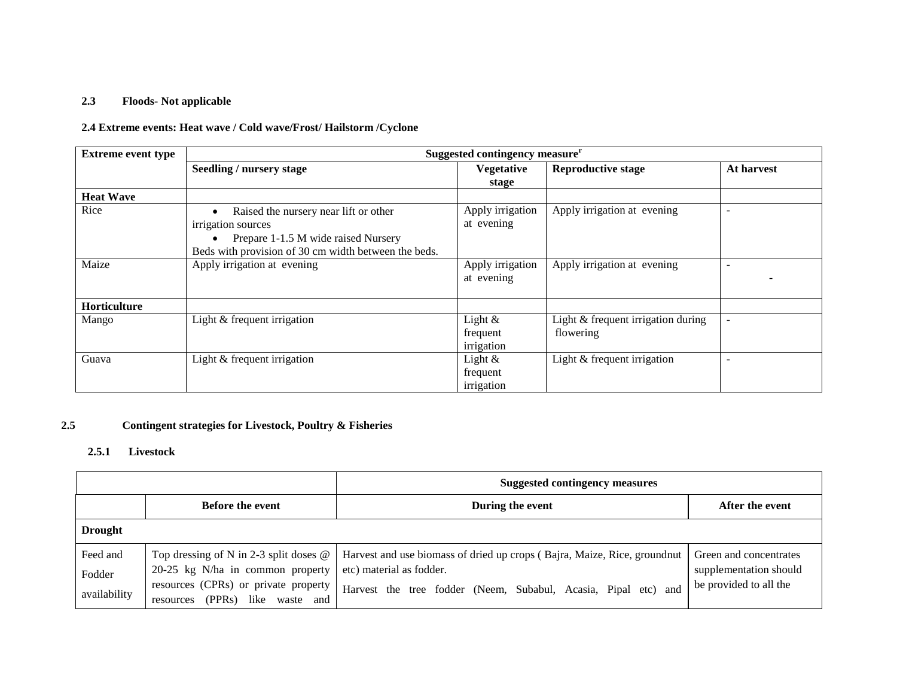## **2.3 Floods- Not applicable**

## **2.4 Extreme events: Heat wave / Cold wave/Frost/ Hailstorm /Cyclone**

| <b>Extreme event type</b> |                                                                                                                                                            | Suggested contingency measure <sup>r</sup> |                                                 |                          |  |
|---------------------------|------------------------------------------------------------------------------------------------------------------------------------------------------------|--------------------------------------------|-------------------------------------------------|--------------------------|--|
|                           | Seedling / nursery stage                                                                                                                                   | <b>Vegetative</b><br>stage                 | <b>Reproductive stage</b>                       | At harvest               |  |
| <b>Heat Wave</b>          |                                                                                                                                                            |                                            |                                                 |                          |  |
| Rice                      | Raised the nursery near lift or other<br>irrigation sources<br>Prepare 1-1.5 M wide raised Nursery<br>Beds with provision of 30 cm width between the beds. | Apply irrigation<br>at evening             | Apply irrigation at evening                     | $\overline{\phantom{a}}$ |  |
| Maize                     | Apply irrigation at evening                                                                                                                                | Apply irrigation<br>at evening             | Apply irrigation at evening                     |                          |  |
| <b>Horticulture</b>       |                                                                                                                                                            |                                            |                                                 |                          |  |
| Mango                     | Light & frequent irrigation                                                                                                                                | Light $\&$<br>frequent<br>irrigation       | Light & frequent irrigation during<br>flowering | $\overline{\phantom{a}}$ |  |
| Guava                     | Light & frequent irrigation                                                                                                                                | Light $&$<br>frequent<br>irrigation        | Light & frequent irrigation                     | $\overline{\phantom{a}}$ |  |

#### **2.5 Contingent strategies for Livestock, Poultry & Fisheries**

#### **2.5.1 Livestock**

|                                    |                                                                                                                                                                                    | <b>Suggested contingency measures</b>                                                                                                                                    |                                                                            |  |
|------------------------------------|------------------------------------------------------------------------------------------------------------------------------------------------------------------------------------|--------------------------------------------------------------------------------------------------------------------------------------------------------------------------|----------------------------------------------------------------------------|--|
|                                    | <b>Before the event</b>                                                                                                                                                            | During the event                                                                                                                                                         | After the event                                                            |  |
| <b>Drought</b>                     |                                                                                                                                                                                    |                                                                                                                                                                          |                                                                            |  |
| Feed and<br>Fodder<br>availability | Top dressing of N in 2-3 split doses $\omega$<br>20-25 kg N/ha in common property<br>resources (CPRs) or private property<br>(PPR <sub>s</sub> )<br>like<br>waste and<br>resources | Harvest and use biomass of dried up crops (Bajra, Maize, Rice, ground nut)<br>etc) material as fodder.<br>Harvest the tree fodder (Neem, Subabul, Acasia, Pipal etc) and | Green and concentrates<br>supplementation should<br>be provided to all the |  |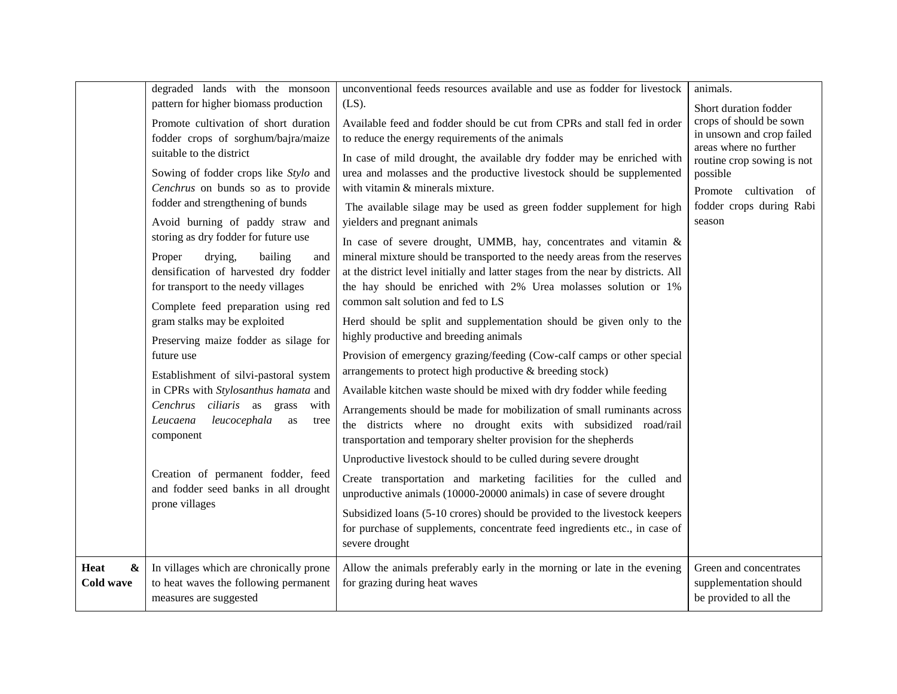|                                               | degraded lands with the monsoon<br>pattern for higher biomass production                                                                                   | unconventional feeds resources available and use as fodder for livestock<br>$(LS)$ .                                                                                                                                                                                                                                                            | animals.<br>Short duration fodder<br>crops of should be sown               |
|-----------------------------------------------|------------------------------------------------------------------------------------------------------------------------------------------------------------|-------------------------------------------------------------------------------------------------------------------------------------------------------------------------------------------------------------------------------------------------------------------------------------------------------------------------------------------------|----------------------------------------------------------------------------|
|                                               | Promote cultivation of short duration<br>fodder crops of sorghum/bajra/maize<br>suitable to the district                                                   | Available feed and fodder should be cut from CPRs and stall fed in order<br>to reduce the energy requirements of the animals                                                                                                                                                                                                                    | in unsown and crop failed<br>areas where no further                        |
|                                               | Sowing of fodder crops like Stylo and<br>Cenchrus on bunds so as to provide<br>fodder and strengthening of bunds                                           | In case of mild drought, the available dry fodder may be enriched with<br>urea and molasses and the productive livestock should be supplemented<br>with vitamin & minerals mixture.                                                                                                                                                             | routine crop sowing is not<br>possible<br>Promote<br>cultivation of        |
|                                               | Avoid burning of paddy straw and<br>storing as dry fodder for future use                                                                                   | The available silage may be used as green fodder supplement for high<br>yielders and pregnant animals                                                                                                                                                                                                                                           | fodder crops during Rabi<br>season                                         |
|                                               | Proper<br>drying,<br>bailing<br>and<br>densification of harvested dry fodder<br>for transport to the needy villages<br>Complete feed preparation using red | In case of severe drought, UMMB, hay, concentrates and vitamin $\&$<br>mineral mixture should be transported to the needy areas from the reserves<br>at the district level initially and latter stages from the near by districts. All<br>the hay should be enriched with 2% Urea molasses solution or 1%<br>common salt solution and fed to LS |                                                                            |
|                                               | gram stalks may be exploited<br>Preserving maize fodder as silage for                                                                                      | Herd should be split and supplementation should be given only to the<br>highly productive and breeding animals                                                                                                                                                                                                                                  |                                                                            |
|                                               | future use<br>Establishment of silvi-pastoral system                                                                                                       | Provision of emergency grazing/feeding (Cow-calf camps or other special<br>arrangements to protect high productive & breeding stock)                                                                                                                                                                                                            |                                                                            |
|                                               | in CPRs with Stylosanthus hamata and<br>Cenchrus ciliaris as grass<br>with<br>leucocephala<br>Leucaena<br>as<br>tree<br>component                          | Available kitchen waste should be mixed with dry fodder while feeding<br>Arrangements should be made for mobilization of small ruminants across<br>the districts where no drought exits with subsidized road/rail<br>transportation and temporary shelter provision for the shepherds                                                           |                                                                            |
|                                               | Creation of permanent fodder, feed<br>and fodder seed banks in all drought<br>prone villages                                                               | Unproductive livestock should to be culled during severe drought<br>Create transportation and marketing facilities for the culled and<br>unproductive animals (10000-20000 animals) in case of severe drought                                                                                                                                   |                                                                            |
|                                               |                                                                                                                                                            | Subsidized loans (5-10 crores) should be provided to the livestock keepers<br>for purchase of supplements, concentrate feed ingredients etc., in case of<br>severe drought                                                                                                                                                                      |                                                                            |
| <b>Heat</b><br>$\boldsymbol{\&}$<br>Cold wave | In villages which are chronically prone<br>to heat waves the following permanent<br>measures are suggested                                                 | Allow the animals preferably early in the morning or late in the evening<br>for grazing during heat waves                                                                                                                                                                                                                                       | Green and concentrates<br>supplementation should<br>be provided to all the |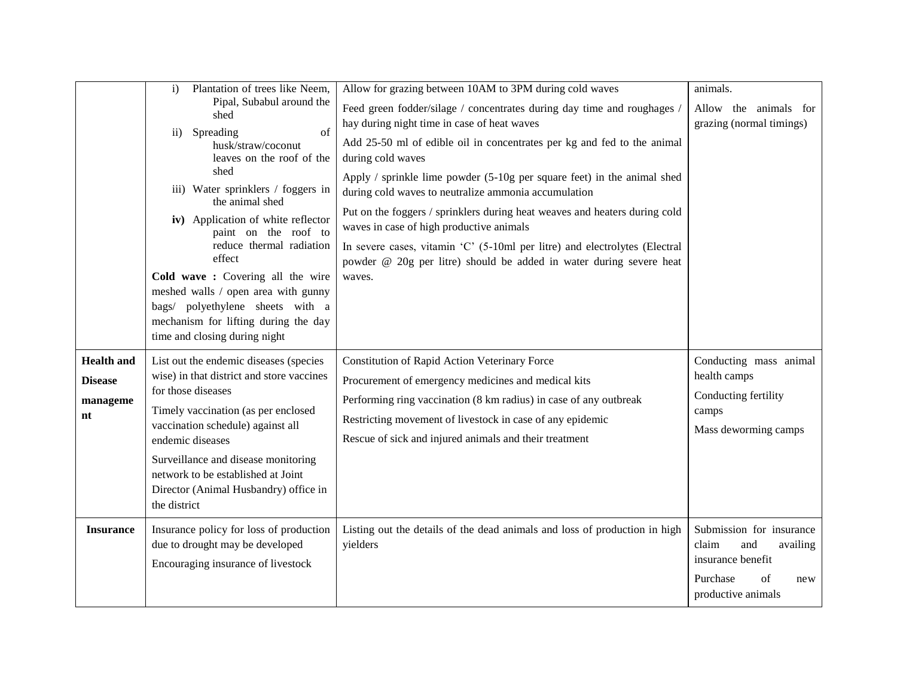|                                                       | Plantation of trees like Neem,<br>$\mathbf{i}$                                                                                                                                                                                                                                                                                                                                                                                                       | Allow for grazing between 10AM to 3PM during cold waves                                                                                                                                                                                                                                                                                                                                                                                                                                                                        | animals.                                                                                                                 |
|-------------------------------------------------------|------------------------------------------------------------------------------------------------------------------------------------------------------------------------------------------------------------------------------------------------------------------------------------------------------------------------------------------------------------------------------------------------------------------------------------------------------|--------------------------------------------------------------------------------------------------------------------------------------------------------------------------------------------------------------------------------------------------------------------------------------------------------------------------------------------------------------------------------------------------------------------------------------------------------------------------------------------------------------------------------|--------------------------------------------------------------------------------------------------------------------------|
|                                                       | Pipal, Subabul around the<br>shed                                                                                                                                                                                                                                                                                                                                                                                                                    | Feed green fodder/silage / concentrates during day time and roughages /<br>hay during night time in case of heat waves                                                                                                                                                                                                                                                                                                                                                                                                         | Allow the animals for<br>grazing (normal timings)                                                                        |
|                                                       | Spreading<br>of<br>$\overline{11}$ )<br>husk/straw/coconut<br>leaves on the roof of the<br>shed<br>iii) Water sprinklers / foggers in<br>the animal shed<br>iv) Application of white reflector<br>paint on the roof to<br>reduce thermal radiation<br>effect<br>Cold wave: Covering all the wire<br>meshed walls / open area with gunny<br>bags/ polyethylene sheets with a<br>mechanism for lifting during the day<br>time and closing during night | Add 25-50 ml of edible oil in concentrates per kg and fed to the animal<br>during cold waves<br>Apply $/$ sprinkle lime powder $(5-10)$ g per square feet) in the animal shed<br>during cold waves to neutralize ammonia accumulation<br>Put on the foggers / sprinklers during heat weaves and heaters during cold<br>waves in case of high productive animals<br>In severe cases, vitamin 'C' (5-10ml per litre) and electrolytes (Electral<br>powder @ 20g per litre) should be added in water during severe heat<br>waves. |                                                                                                                          |
| <b>Health</b> and<br><b>Disease</b><br>manageme<br>nt | List out the endemic diseases (species<br>wise) in that district and store vaccines<br>for those diseases<br>Timely vaccination (as per enclosed<br>vaccination schedule) against all<br>endemic diseases<br>Surveillance and disease monitoring<br>network to be established at Joint<br>Director (Animal Husbandry) office in<br>the district                                                                                                      | Constitution of Rapid Action Veterinary Force<br>Procurement of emergency medicines and medical kits<br>Performing ring vaccination (8 km radius) in case of any outbreak<br>Restricting movement of livestock in case of any epidemic<br>Rescue of sick and injured animals and their treatment                                                                                                                                                                                                                               | Conducting mass animal<br>health camps<br>Conducting fertility<br>camps<br>Mass deworming camps                          |
| <b>Insurance</b>                                      | Insurance policy for loss of production<br>due to drought may be developed<br>Encouraging insurance of livestock                                                                                                                                                                                                                                                                                                                                     | Listing out the details of the dead animals and loss of production in high<br>yielders                                                                                                                                                                                                                                                                                                                                                                                                                                         | Submission for insurance<br>claim<br>and<br>availing<br>insurance benefit<br>Purchase<br>of<br>new<br>productive animals |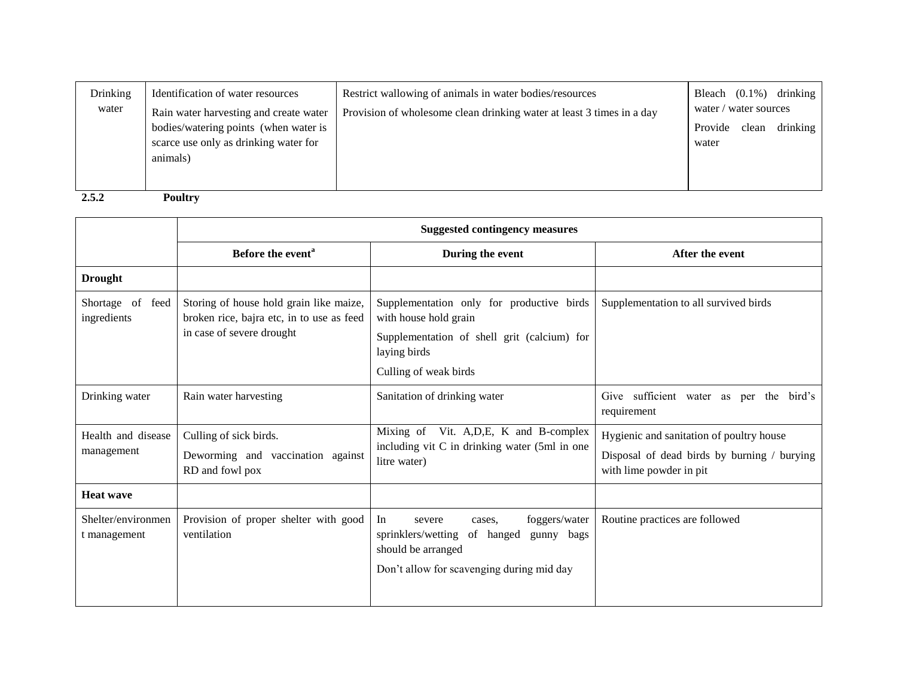| Drinking<br>water | Identification of water resources<br>Rain water harvesting and create water                | Restrict wallowing of animals in water bodies/resources<br>Provision of wholesome clean drinking water at least 3 times in a day | Bleach $(0.1\%)$ drinking<br>water / water sources |  |
|-------------------|--------------------------------------------------------------------------------------------|----------------------------------------------------------------------------------------------------------------------------------|----------------------------------------------------|--|
|                   | bodies/watering points (when water is<br>scarce use only as drinking water for<br>animals) |                                                                                                                                  | Provide clean drinking<br>water                    |  |
| 2.5.2             | Poultry                                                                                    |                                                                                                                                  |                                                    |  |

|                                    | <b>Suggested contingency measures</b>                                                                             |                                                                                                                |                                                                        |  |
|------------------------------------|-------------------------------------------------------------------------------------------------------------------|----------------------------------------------------------------------------------------------------------------|------------------------------------------------------------------------|--|
|                                    | Before the event <sup>a</sup>                                                                                     | During the event                                                                                               | After the event                                                        |  |
| <b>Drought</b>                     |                                                                                                                   |                                                                                                                |                                                                        |  |
| Shortage of<br>feed<br>ingredients | Storing of house hold grain like maize,<br>broken rice, bajra etc, in to use as feed<br>in case of severe drought | Supplementation only for productive birds<br>with house hold grain                                             | Supplementation to all survived birds                                  |  |
|                                    |                                                                                                                   | Supplementation of shell grit (calcium) for<br>laying birds                                                    |                                                                        |  |
|                                    |                                                                                                                   | Culling of weak birds                                                                                          |                                                                        |  |
| Drinking water                     | Rain water harvesting                                                                                             | Sanitation of drinking water                                                                                   | Give sufficient water as per the bird's<br>requirement                 |  |
| Health and disease                 | Culling of sick birds.                                                                                            | Mixing of Vit. A, D, E, K and B-complex                                                                        | Hygienic and sanitation of poultry house                               |  |
| management                         | Deworming and vaccination against<br>RD and fowl pox                                                              | including vit C in drinking water (5ml in one<br>litre water)                                                  | Disposal of dead birds by burning / burying<br>with lime powder in pit |  |
| <b>Heat wave</b>                   |                                                                                                                   |                                                                                                                |                                                                        |  |
| Shelter/environmen<br>t management | Provision of proper shelter with good<br>ventilation                                                              | In<br>foggers/water<br>severe<br>cases.<br>sprinklers/wetting<br>of hanged<br>gunny bags<br>should be arranged | Routine practices are followed                                         |  |
|                                    |                                                                                                                   | Don't allow for scavenging during mid day                                                                      |                                                                        |  |